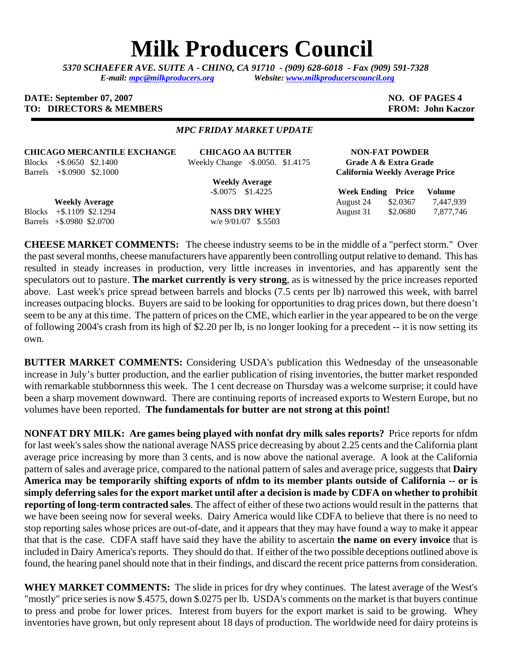# **Milk Producers Council**

*5370 SCHAEFER AVE. SUITE A* **-** *CHINO, CA 91710 - (909) 628-6018 - Fax (909) 591-7328 E-mail: [mpc@milkproducers.org](mailto:mpc@milkproducers.org) Website: [www.milkproducerscouncil.org](http://www.milkproducerscouncil.org/)* 

### **DATE: September 07, 2007** NO. OF PAGES 4 **TO: DIRECTORS & MEMBERS FROM: John Kaczor**

#### *MPC FRIDAY MARKET UPDATE*

**CHICAGO MERCANTILE EXCHANGE CHICAGO AA BUTTER NON-FAT POWDER** 

Blocks +\$.0650 \$2.1400 Weekly Change -\$.0050. \$1.4175 **Grade A & Extra Grade** 

 **Weekly Average** 

Barrels +\$.0900 \$2.1000 **California Weekly Average Price**

Barrels +\$.0980 \$2.0700 w/e 9/01/07 \$.5503

 **-**\$.0075 \$1.4225 **Week Ending Price Volume Weekly Average 24 \$2.0367 7,447,939** Blocks +\$.1109 \$2.1294 **NASS DRY WHEY** August 31 \$2.0680 7,877,746

**CHEESE MARKET COMMENTS:** The cheese industry seems to be in the middle of a "perfect storm." Over the past several months, cheese manufacturers have apparently been controlling output relative to demand. This has resulted in steady increases in production, very little increases in inventories, and has apparently sent the speculators out to pasture. **The market currently is very strong**, as is witnessed by the price increases reported above. Last week's price spread between barrels and blocks (7.5 cents per lb) narrowed this week, with barrel increases outpacing blocks. Buyers are said to be looking for opportunities to drag prices down, but there doesn't seem to be any at this time. The pattern of prices on the CME, which earlier in the year appeared to be on the verge of following 2004's crash from its high of \$2.20 per lb, is no longer looking for a precedent -- it is now setting its own.

**BUTTER MARKET COMMENTS:** Considering USDA's publication this Wednesday of the unseasonable increase in July's butter production, and the earlier publication of rising inventories, the butter market responded with remarkable stubbornness this week. The 1 cent decrease on Thursday was a welcome surprise; it could have been a sharp movement downward. There are continuing reports of increased exports to Western Europe, but no volumes have been reported. **The fundamentals for butter are not strong at this point!** 

**NONFAT DRY MILK: Are games being played with nonfat dry milk sales reports?** Price reports for nfdm for last week's sales show the national average NASS price decreasing by about 2.25 cents and the California plant average price increasing by more than 3 cents, and is now above the national average. A look at the California pattern of sales and average price, compared to the national pattern of sales and average price, suggests that **Dairy America may be temporarily shifting exports of nfdm to its member plants outside of California -- or is simply deferring sales for the export market until after a decision is made by CDFA on whether to prohibit reporting of long-term contracted sales**. The affect of either of these two actions would result in the patterns that we have been seeing now for several weeks. Dairy America would like CDFA to believe that there is no need to stop reporting sales whose prices are out-of-date, and it appears that they may have found a way to make it appear that that is the case. CDFA staff have said they have the ability to ascertain **the name on every invoice** that is included in Dairy America's reports. They should do that. If either of the two possible deceptions outlined above is found, the hearing panel should note that in their findings, and discard the recent price patterns from consideration.

**WHEY MARKET COMMENTS:** The slide in prices for dry whey continues. The latest average of the West's "mostly" price series is now \$.4575, down \$.0275 per lb. USDA's comments on the market is that buyers continue to press and probe for lower prices. Interest from buyers for the export market is said to be growing. Whey inventories have grown, but only represent about 18 days of production. The worldwide need for dairy proteins is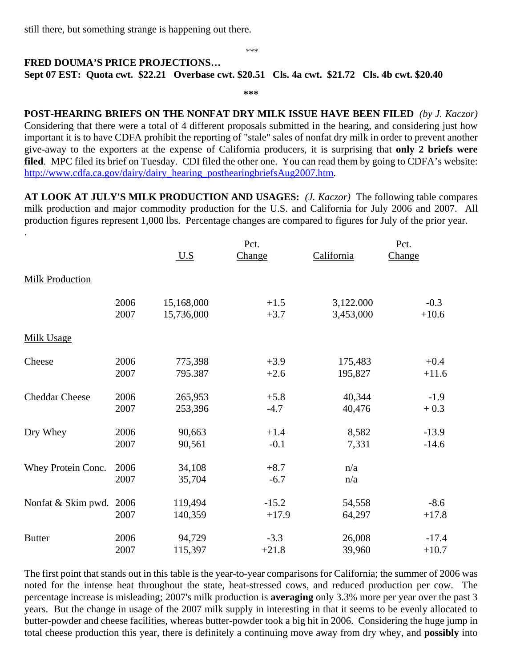still there, but something strange is happening out there.

#### \*\*\*

## **FRED DOUMA'S PRICE PROJECTIONS… Sept 07 EST: Quota cwt. \$22.21 Overbase cwt. \$20.51 Cls. 4a cwt. \$21.72 Cls. 4b cwt. \$20.40**

**\*\*\*** 

**POST-HEARING BRIEFS ON THE NONFAT DRY MILK ISSUE HAVE BEEN FILED** *(by J. Kaczor)* Considering that there were a total of 4 different proposals submitted in the hearing, and considering just how important it is to have CDFA prohibit the reporting of "stale" sales of nonfat dry milk in order to prevent another give-away to the exporters at the expense of California producers, it is surprising that **only 2 briefs were filed.** MPC filed its brief on Tuesday. CDI filed the other one. You can read them by going to CDFA's website: [http://www.cdfa.ca.gov/dairy/dairy\\_hearing\\_posthearingbriefsAug2007.htm.](http://www.cdfa.ca.gov/dairy/dairy_hearing_posthearingbriefsAug2007.htm)

**AT LOOK AT JULY'S MILK PRODUCTION AND USAGES:** *(J. Kaczor)* The following table compares milk production and major commodity production for the U.S. and California for July 2006 and 2007. All production figures represent 1,000 lbs. Percentage changes are compared to figures for July of the prior year.

| $\ddot{\phantom{0}}$   |              | $U.S$            | Pct.<br>Change   | California | Pct.<br>Change |
|------------------------|--------------|------------------|------------------|------------|----------------|
| <b>Milk Production</b> |              |                  |                  |            |                |
|                        | 2006         | 15,168,000       | $+1.5$           | 3,122.000  | $-0.3$         |
|                        | 2007         | 15,736,000       | $+3.7$           | 3,453,000  | $+10.6$        |
| <b>Milk Usage</b>      |              |                  |                  |            |                |
| Cheese                 | 2006         | 775,398          | $+3.9$           | 175,483    | $+0.4$         |
|                        | 2007         | 795.387          | $+2.6$           | 195,827    | $+11.6$        |
| <b>Cheddar Cheese</b>  | 2006         | 265,953          | $+5.8$           | 40,344     | $-1.9$         |
|                        | 2007         | 253,396          | $-4.7$           | 40,476     | $+0.3$         |
| Dry Whey               | 2006         | 90,663           | $+1.4$           | 8,582      | $-13.9$        |
|                        | 2007         | 90,561           | $-0.1$           | 7,331      | $-14.6$        |
| Whey Protein Conc.     | 2006<br>2007 | 34,108<br>35,704 | $+8.7$<br>$-6.7$ | n/a<br>n/a |                |
| Nonfat & Skim pwd.     | 2006         | 119,494          | $-15.2$          | 54,558     | $-8.6$         |
|                        | 2007         | 140,359          | $+17.9$          | 64,297     | $+17.8$        |
| <b>Butter</b>          | 2006         | 94,729           | $-3.3$           | 26,008     | $-17.4$        |
|                        | 2007         | 115,397          | $+21.8$          | 39,960     | $+10.7$        |

The first point that stands out in this table is the year-to-year comparisons for California; the summer of 2006 was noted for the intense heat throughout the state, heat-stressed cows, and reduced production per cow. The percentage increase is misleading; 2007's milk production is **averaging** only 3.3% more per year over the past 3 years. But the change in usage of the 2007 milk supply in interesting in that it seems to be evenly allocated to butter-powder and cheese facilities, whereas butter-powder took a big hit in 2006. Considering the huge jump in total cheese production this year, there is definitely a continuing move away from dry whey, and **possibly** into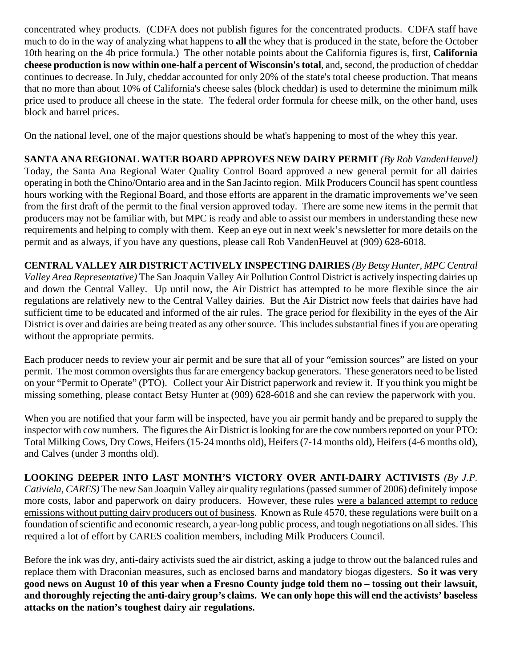concentrated whey products. (CDFA does not publish figures for the concentrated products. CDFA staff have much to do in the way of analyzing what happens to **all** the whey that is produced in the state, before the October 10th hearing on the 4b price formula.) The other notable points about the California figures is, first, **California cheese production is now within one-half a percent of Wisconsin's total**, and, second, the production of cheddar continues to decrease. In July, cheddar accounted for only 20% of the state's total cheese production. That means that no more than about 10% of California's cheese sales (block cheddar) is used to determine the minimum milk price used to produce all cheese in the state. The federal order formula for cheese milk, on the other hand, uses block and barrel prices.

On the national level, one of the major questions should be what's happening to most of the whey this year.

**SANTA ANA REGIONAL WATER BOARD APPROVES NEW DAIRY PERMIT** *(By Rob VandenHeuvel)* Today, the Santa Ana Regional Water Quality Control Board approved a new general permit for all dairies operating in both the Chino/Ontario area and in the San Jacinto region. Milk Producers Council has spent countless hours working with the Regional Board, and those efforts are apparent in the dramatic improvements we've seen from the first draft of the permit to the final version approved today. There are some new items in the permit that producers may not be familiar with, but MPC is ready and able to assist our members in understanding these new requirements and helping to comply with them. Keep an eye out in next week's newsletter for more details on the permit and as always, if you have any questions, please call Rob VandenHeuvel at (909) 628-6018.

**CENTRAL VALLEY AIR DISTRICT ACTIVELY INSPECTING DAIRIES** *(By Betsy Hunter, MPC Central Valley Area Representative)* The San Joaquin Valley Air Pollution Control District is actively inspecting dairies up and down the Central Valley. Up until now, the Air District has attempted to be more flexible since the air regulations are relatively new to the Central Valley dairies. But the Air District now feels that dairies have had sufficient time to be educated and informed of the air rules. The grace period for flexibility in the eyes of the Air District is over and dairies are being treated as any other source. This includes substantial fines if you are operating without the appropriate permits.

Each producer needs to review your air permit and be sure that all of your "emission sources" are listed on your permit. The most common oversights thus far are emergency backup generators. These generators need to be listed on your "Permit to Operate" (PTO). Collect your Air District paperwork and review it. If you think you might be missing something, please contact Betsy Hunter at (909) 628-6018 and she can review the paperwork with you.

When you are notified that your farm will be inspected, have you air permit handy and be prepared to supply the inspector with cow numbers. The figures the Air District is looking for are the cow numbers reported on your PTO: Total Milking Cows, Dry Cows, Heifers (15-24 months old), Heifers (7-14 months old), Heifers (4-6 months old), and Calves (under 3 months old).

**LOOKING DEEPER INTO LAST MONTH'S VICTORY OVER ANTI-DAIRY ACTIVISTS** *(By J.P. Cativiela, CARES)* The new San Joaquin Valley air quality regulations (passed summer of 2006) definitely impose more costs, labor and paperwork on dairy producers. However, these rules were a balanced attempt to reduce emissions without putting dairy producers out of business. Known as Rule 4570, these regulations were built on a foundation of scientific and economic research, a year-long public process, and tough negotiations on all sides. This required a lot of effort by CARES coalition members, including Milk Producers Council.

Before the ink was dry, anti-dairy activists sued the air district, asking a judge to throw out the balanced rules and replace them with Draconian measures, such as enclosed barns and mandatory biogas digesters. **So it was very good news on August 10 of this year when a Fresno County judge told them no – tossing out their lawsuit, and thoroughly rejecting the anti-dairy group's claims. We can only hope this will end the activists' baseless attacks on the nation's toughest dairy air regulations.**